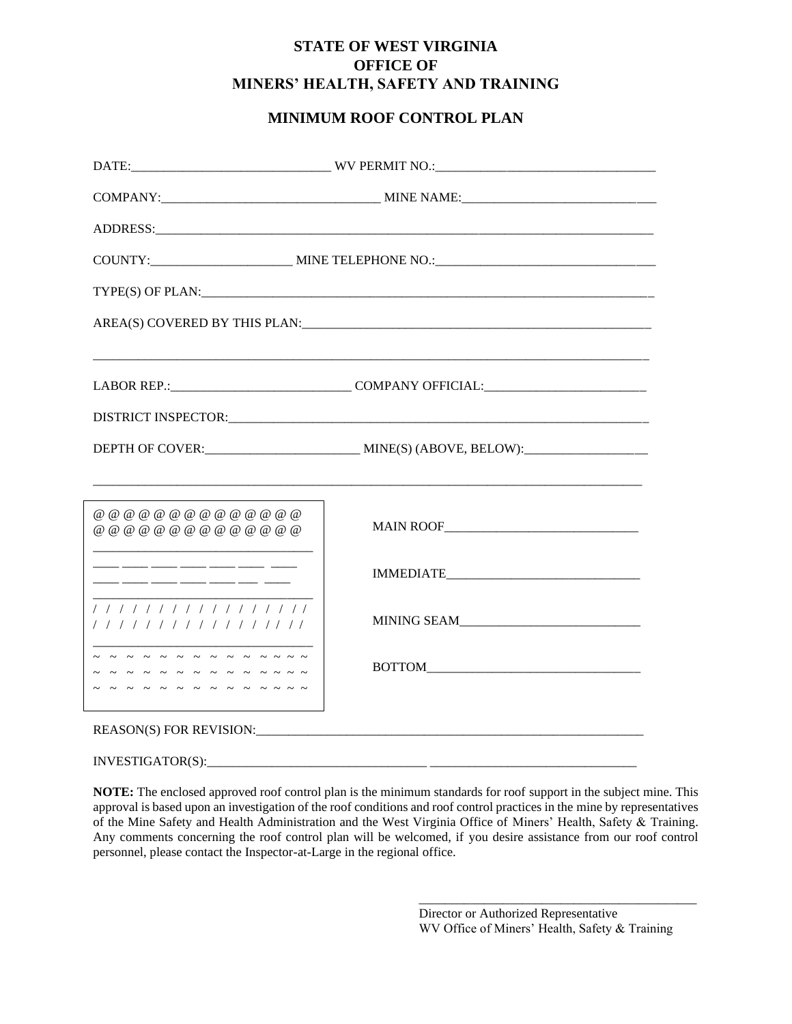## **STATE OF WEST VIRGINIA OFFICE OF MINERS' HEALTH, SAFETY AND TRAINING**

## **MINIMUM ROOF CONTROL PLAN**

| @ @ @ @ @ @ @ @ @ @ @ @ @ @ @<br>@ @ @ @ @ @ @ @ @ @ @ @ @ @ @<br><u> 1989 - Johann Barbara, martin amerikan basar dan basa dan basa dan basa dalam basa dalam basa dalam basa dala</u> |                                                                                                                                                                                                                                |  |  |
|-----------------------------------------------------------------------------------------------------------------------------------------------------------------------------------------|--------------------------------------------------------------------------------------------------------------------------------------------------------------------------------------------------------------------------------|--|--|
|                                                                                                                                                                                         |                                                                                                                                                                                                                                |  |  |
| 1 1 1 1 1 1 1 1 1 1 1 1 1 1 1 1 1<br>/////////////////                                                                                                                                  |                                                                                                                                                                                                                                |  |  |
| - - - - - - - - - - - - - -<br>~ ~ ~ ~ ~ ~ ~ ~ ~ ~ ~ ~ ~ ~<br>- - - - - - - - - - - - - - -                                                                                             |                                                                                                                                                                                                                                |  |  |
|                                                                                                                                                                                         | REASON(S) FOR REVISION: The contract of the contract of the contract of the contract of the contract of the contract of the contract of the contract of the contract of the contract of the contract of the contract of the co |  |  |

 $INVESTIGATOR(S):$ 

**NOTE:** The enclosed approved roof control plan is the minimum standards for roof support in the subject mine. This approval is based upon an investigation of the roof conditions and roof control practices in the mine by representatives of the Mine Safety and Health Administration and the West Virginia Office of Miners' Health, Safety & Training. Any comments concerning the roof control plan will be welcomed, if you desire assistance from our roof control personnel, please contact the Inspector-at-Large in the regional office.

> Director or Authorized Representative WV Office of Miners' Health, Safety & Training

\_\_\_\_\_\_\_\_\_\_\_\_\_\_\_\_\_\_\_\_\_\_\_\_\_\_\_\_\_\_\_\_\_\_\_\_\_\_\_\_\_\_\_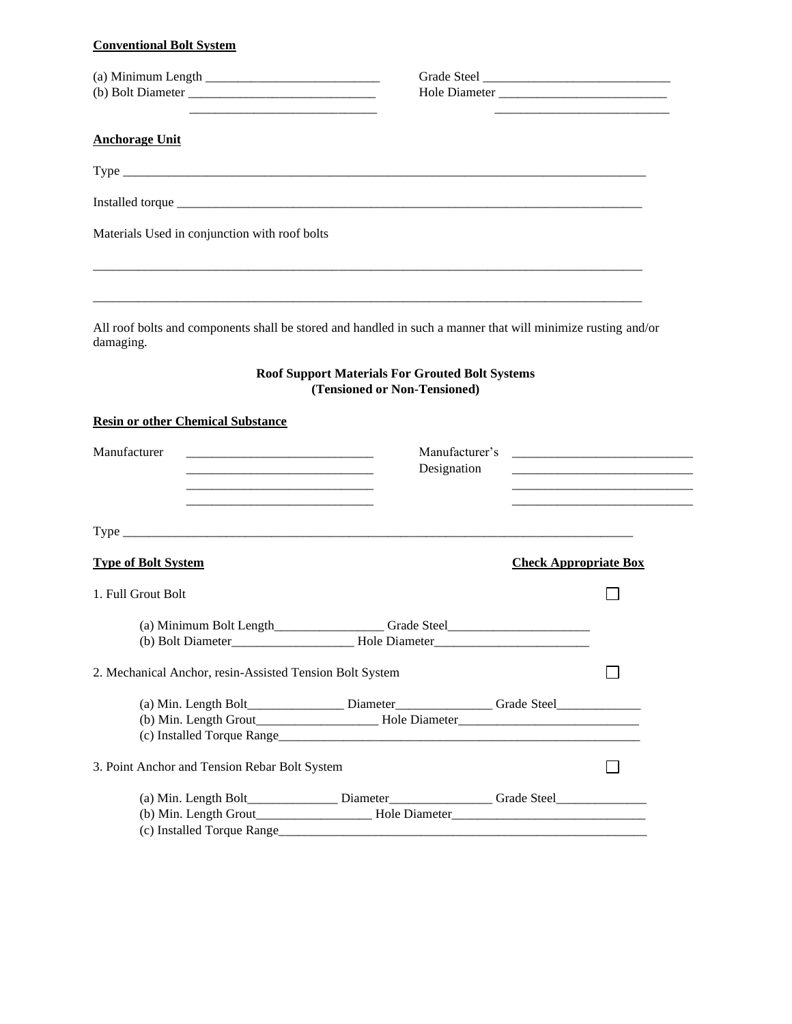#### **Conventional Bolt System**

| <u> 1989 - Johann Barn, mars ann an t-Amhain an t-Amhain an t-Amhain an t-Amhain an t-Amhain an t-Amhain an t-Amh</u>                                                                                                                   |                                                                                        |                              |  |
|-----------------------------------------------------------------------------------------------------------------------------------------------------------------------------------------------------------------------------------------|----------------------------------------------------------------------------------------|------------------------------|--|
| <b>Anchorage Unit</b>                                                                                                                                                                                                                   |                                                                                        |                              |  |
|                                                                                                                                                                                                                                         |                                                                                        |                              |  |
|                                                                                                                                                                                                                                         |                                                                                        |                              |  |
| Materials Used in conjunction with roof bolts                                                                                                                                                                                           |                                                                                        |                              |  |
| All roof bolts and components shall be stored and handled in such a manner that will minimize rusting and/or<br>damaging.                                                                                                               | <b>Roof Support Materials For Grouted Bolt Systems</b><br>(Tensioned or Non-Tensioned) |                              |  |
| <b>Resin or other Chemical Substance</b>                                                                                                                                                                                                |                                                                                        |                              |  |
| Manufacturer<br>Manufacturer's<br>Designation<br><u> 1989 - Johann Barn, mars an t-Amerikaansk politiker (</u><br><u> 1989 - Johann Barbara, martin da basar da basar da basar da basar da basar da basar da basar da basar da basa</u> |                                                                                        |                              |  |
|                                                                                                                                                                                                                                         |                                                                                        |                              |  |
| <b>Type of Bolt System</b>                                                                                                                                                                                                              |                                                                                        | <b>Check Appropriate Box</b> |  |
| 1. Full Grout Bolt                                                                                                                                                                                                                      |                                                                                        |                              |  |
| (b) Bolt Diameter_                                                                                                                                                                                                                      | Hole Diameter                                                                          |                              |  |
| 2. Mechanical Anchor, resin-Assisted Tension Bolt System                                                                                                                                                                                |                                                                                        |                              |  |
|                                                                                                                                                                                                                                         |                                                                                        |                              |  |
| 3. Point Anchor and Tension Rebar Bolt System                                                                                                                                                                                           |                                                                                        |                              |  |
| (a) Min. Length Bolt___________________Diameter_____________________Grade Steel_____________________                                                                                                                                    |                                                                                        |                              |  |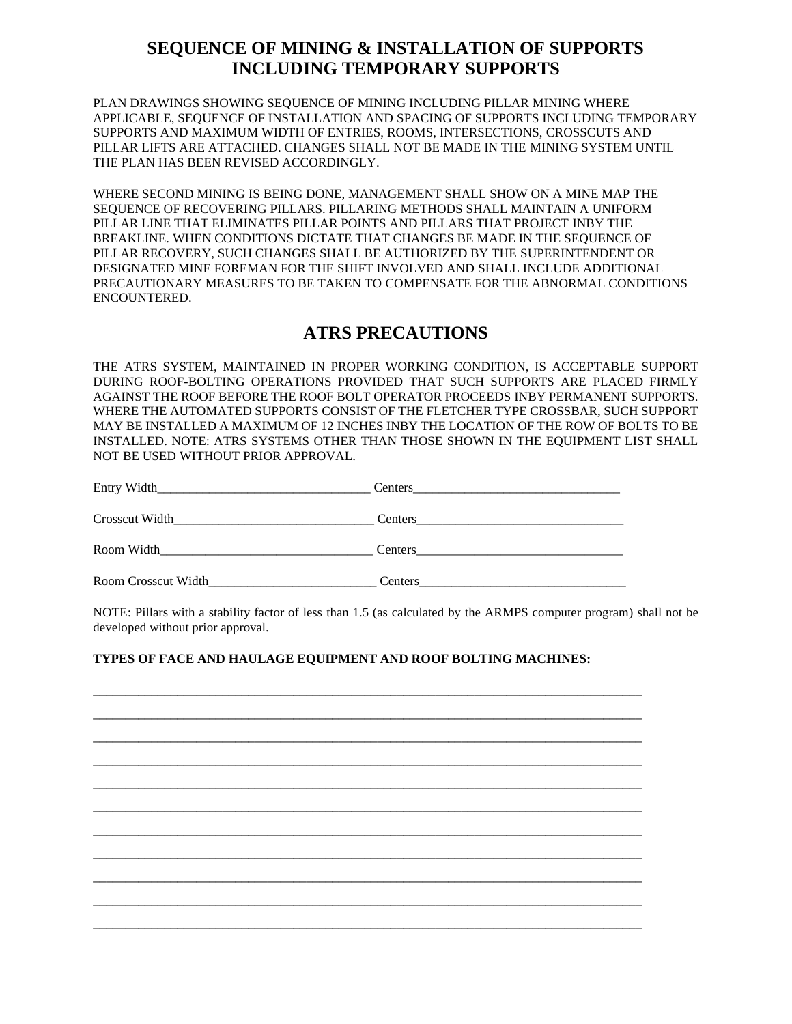# **SEQUENCE OF MINING & INSTALLATION OF SUPPORTS INCLUDING TEMPORARY SUPPORTS**

PLAN DRAWINGS SHOWING SEQUENCE OF MINING INCLUDING PILLAR MINING WHERE APPLICABLE, SEQUENCE OF INSTALLATION AND SPACING OF SUPPORTS INCLUDING TEMPORARY SUPPORTS AND MAXIMUM WIDTH OF ENTRIES, ROOMS, INTERSECTIONS, CROSSCUTS AND PILLAR LIFTS ARE ATTACHED. CHANGES SHALL NOT BE MADE IN THE MINING SYSTEM UNTIL THE PLAN HAS BEEN REVISED ACCORDINGLY.

WHERE SECOND MINING IS BEING DONE, MANAGEMENT SHALL SHOW ON A MINE MAP THE SEQUENCE OF RECOVERING PILLARS. PILLARING METHODS SHALL MAINTAIN A UNIFORM PILLAR LINE THAT ELIMINATES PILLAR POINTS AND PILLARS THAT PROJECT INBY THE BREAKLINE. WHEN CONDITIONS DICTATE THAT CHANGES BE MADE IN THE SEQUENCE OF PILLAR RECOVERY, SUCH CHANGES SHALL BE AUTHORIZED BY THE SUPERINTENDENT OR DESIGNATED MINE FOREMAN FOR THE SHIFT INVOLVED AND SHALL INCLUDE ADDITIONAL PRECAUTIONARY MEASURES TO BE TAKEN TO COMPENSATE FOR THE ABNORMAL CONDITIONS ENCOUNTERED.

# **ATRS PRECAUTIONS**

THE ATRS SYSTEM, MAINTAINED IN PROPER WORKING CONDITION, IS ACCEPTABLE SUPPORT DURING ROOF-BOLTING OPERATIONS PROVIDED THAT SUCH SUPPORTS ARE PLACED FIRMLY AGAINST THE ROOF BEFORE THE ROOF BOLT OPERATOR PROCEEDS INBY PERMANENT SUPPORTS. WHERE THE AUTOMATED SUPPORTS CONSIST OF THE FLETCHER TYPE CROSSBAR, SUCH SUPPORT MAY BE INSTALLED A MAXIMUM OF 12 INCHES INBY THE LOCATION OF THE ROW OF BOLTS TO BE INSTALLED. NOTE: ATRS SYSTEMS OTHER THAN THOSE SHOWN IN THE EQUIPMENT LIST SHALL NOT BE USED WITHOUT PRIOR APPROVAL.

| Entry Width_<br><u> 1980 - Jan Stein Berlin, amerikan besteht besteht aus der Stein Berlin und der Stein Berlin und der Stein Berlin</u> | Centers |
|------------------------------------------------------------------------------------------------------------------------------------------|---------|
| Crosscut Width_                                                                                                                          | Centers |
| Room Width                                                                                                                               | Centers |
| Room Crosscut Width                                                                                                                      | Centers |

NOTE: Pillars with a stability factor of less than 1.5 (as calculated by the ARMPS computer program) shall not be developed without prior approval.

### **TYPES OF FACE AND HAULAGE EQUIPMENT AND ROOF BOLTING MACHINES:**

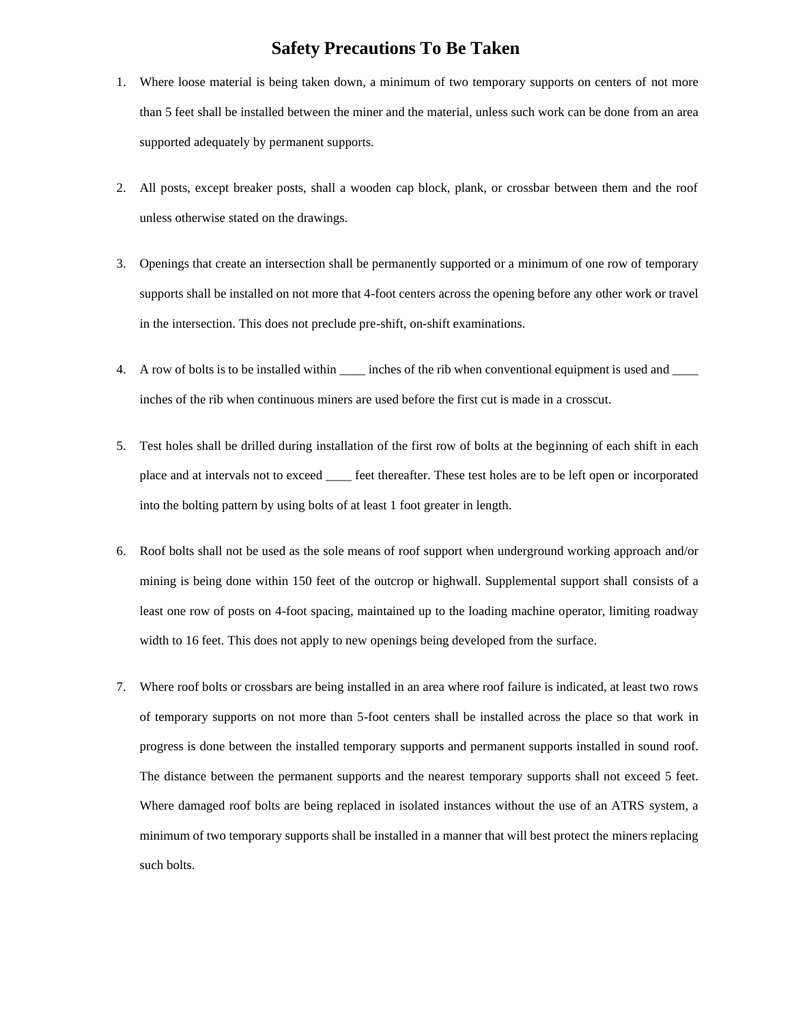## **Safety Precautions To Be Taken**

- 1. Where loose material is being taken down, a minimum of two temporary supports on centers of not more than 5 feet shall be installed between the miner and the material, unless such work can be done from an area supported adequately by permanent supports.
- 2. All posts, except breaker posts, shall a wooden cap block, plank, or crossbar between them and the roof unless otherwise stated on the drawings.
- 3. Openings that create an intersection shall be permanently supported or a minimum of one row of temporary supports shall be installed on not more that 4-foot centers across the opening before any other work or travel in the intersection. This does not preclude pre-shift, on-shift examinations.
- 4. A row of bolts is to be installed within \_\_\_\_\_ inches of the rib when conventional equipment is used and \_\_\_\_ inches of the rib when continuous miners are used before the first cut is made in a crosscut.
- 5. Test holes shall be drilled during installation of the first row of bolts at the beginning of each shift in each place and at intervals not to exceed \_\_\_\_ feet thereafter. These test holes are to be left open or incorporated into the bolting pattern by using bolts of at least 1 foot greater in length.
- 6. Roof bolts shall not be used as the sole means of roof support when underground working approach and/or mining is being done within 150 feet of the outcrop or highwall. Supplemental support shall consists of a least one row of posts on 4-foot spacing, maintained up to the loading machine operator, limiting roadway width to 16 feet. This does not apply to new openings being developed from the surface.
- 7. Where roof bolts or crossbars are being installed in an area where roof failure is indicated, at least two rows of temporary supports on not more than 5-foot centers shall be installed across the place so that work in progress is done between the installed temporary supports and permanent supports installed in sound roof. The distance between the permanent supports and the nearest temporary supports shall not exceed 5 feet. Where damaged roof bolts are being replaced in isolated instances without the use of an ATRS system, a minimum of two temporary supports shall be installed in a manner that will best protect the miners replacing such bolts.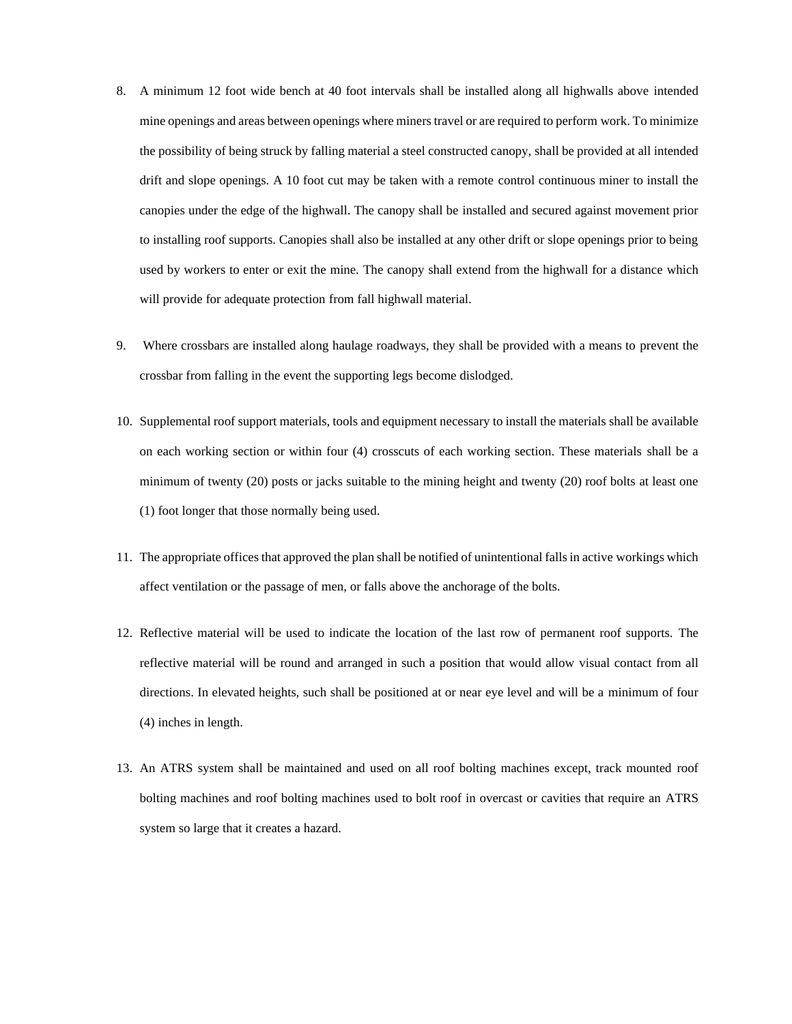- 8. A minimum 12 foot wide bench at 40 foot intervals shall be installed along all highwalls above intended mine openings and areas between openings where miners travel or are required to perform work. To minimize the possibility of being struck by falling material a steel constructed canopy, shall be provided at all intended drift and slope openings. A 10 foot cut may be taken with a remote control continuous miner to install the canopies under the edge of the highwall. The canopy shall be installed and secured against movement prior to installing roof supports. Canopies shall also be installed at any other drift or slope openings prior to being used by workers to enter or exit the mine. The canopy shall extend from the highwall for a distance which will provide for adequate protection from fall highwall material.
- 9. Where crossbars are installed along haulage roadways, they shall be provided with a means to prevent the crossbar from falling in the event the supporting legs become dislodged.
- 10. Supplemental roof support materials, tools and equipment necessary to install the materials shall be available on each working section or within four (4) crosscuts of each working section. These materials shall be a minimum of twenty (20) posts or jacks suitable to the mining height and twenty (20) roof bolts at least one (1) foot longer that those normally being used.
- 11. The appropriate offices that approved the plan shall be notified of unintentional falls in active workings which affect ventilation or the passage of men, or falls above the anchorage of the bolts.
- 12. Reflective material will be used to indicate the location of the last row of permanent roof supports. The reflective material will be round and arranged in such a position that would allow visual contact from all directions. In elevated heights, such shall be positioned at or near eye level and will be a minimum of four (4) inches in length.
- 13. An ATRS system shall be maintained and used on all roof bolting machines except, track mounted roof bolting machines and roof bolting machines used to bolt roof in overcast or cavities that require an ATRS system so large that it creates a hazard.